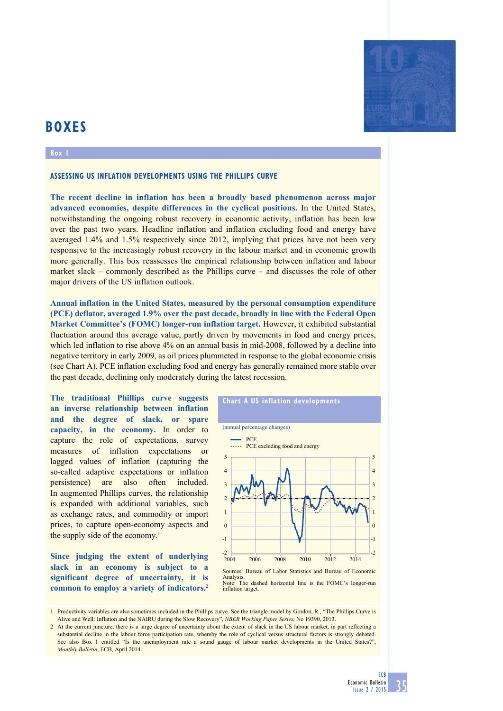# **BOXES**

#### **Box 1**

### **Assessing US inflation developments using the Phillips curve**

**The recent decline in inflation has been a broadly based phenomenon across major advanced economies, despite differences in the cyclical positions.** In the United States, notwithstanding the ongoing robust recovery in economic activity, inflation has been low over the past two years. Headline inflation and inflation excluding food and energy have averaged 1.4% and 1.5% respectively since 2012, implying that prices have not been very responsive to the increasingly robust recovery in the labour market and in economic growth more generally. This box reassesses the empirical relationship between inflation and labour market slack – commonly described as the Phillips curve – and discusses the role of other major drivers of the US inflation outlook.

**Annual inflation in the United States, measured by the personal consumption expenditure (PCE) deflator, averaged 1.9% over the past decade, broadly in line with the Federal Open Market Committee's (FOMC) longer-run inflation target.** However, it exhibited substantial fluctuation around this average value, partly driven by movements in food and energy prices, which led inflation to rise above 4% on an annual basis in mid-2008, followed by a decline into negative territory in early 2009, as oil prices plummeted in response to the global economic crisis (see Chart A). PCE inflation excluding food and energy has generally remained more stable over the past decade, declining only moderately during the latest recession.

**The traditional Phillips curve suggests an inverse relationship between inflation and the degree of slack, or spare capacity, in the economy.** In order to capture the role of expectations, survey measures of inflation expectations or lagged values of inflation (capturing the so-called adaptive expectations or inflation persistence) are also often included. In augmented Phillips curves, the relationship is expanded with additional variables, such as exchange rates, and commodity or import prices, to capture open-economy aspects and the supply side of the economy.<sup>1</sup>

**Since judging the extent of underlying slack in an economy is subject to a significant degree of uncertainty, it is common to employ a variety of indicators.2**

# **Chart a Us inflation developments**



Analysis.<br>Note: The dashed horizontal line is the FOMC's longer-run inflation target.

1 Productivity variables are also sometimes included in the Phillips curve. See the triangle model by Gordon, R., "The Phillips Curve is Alive and Well: Inflation and the NAIRU during the Slow Recovery", *NBER Working Paper Series,* No 19390, 2013.

2 At the current juncture, there is a large degree of uncertainty about the extent of slack in the US labour market, in part reflecting a substantial decline in the labour force participation rate, whereby the role of cyclical versus structural factors is strongly debated. See also Box 1 entitled "Is the unemployment rate a sound gauge of labour market developments in the United States?", *Monthly Bulletin*, ECB, April 2014.

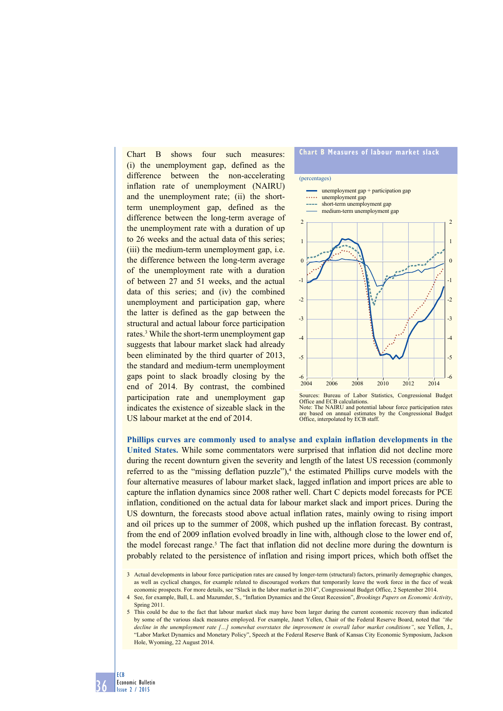Chart B shows four such measures: (i) the unemployment gap, defined as the difference between the non-accelerating inflation rate of unemployment (NAIRU) and the unemployment rate; (ii) the shortterm unemployment gap, defined as the difference between the long-term average of the unemployment rate with a duration of up to 26 weeks and the actual data of this series; (iii) the medium-term unemployment gap, i.e. the difference between the long-term average of the unemployment rate with a duration of between 27 and 51 weeks, and the actual data of this series; and (iv) the combined unemployment and participation gap, where the latter is defined as the gap between the structural and actual labour force participation rates.3 While the short-term unemployment gap suggests that labour market slack had already been eliminated by the third quarter of 2013, the standard and medium-term unemployment gaps point to slack broadly closing by the end of 2014. By contrast, the combined participation rate and unemployment gap indicates the existence of sizeable slack in the US labour market at the end of 2014.

## **Chart B measures of labour market slack** (percentages)  $-6$   $-2004$ -5  $\overline{A}$ -3 -2 -1 0 1 2 -6 -5  $\overline{A}$  $-3$  $\cdot$ -1  $\overline{0}$ 1 2 2004 2006 2008 2010 2012 2014 unemployment gap + participation gap ..... unemployment gap short-term unemployment gap medium-term unemployment gap ources: Bureau of Labor Statistics, Congressional Budget

**Phillips curves are commonly used to analyse and explain inflation developments in the United States.** While some commentators were surprised that inflation did not decline more during the recent downturn given the severity and length of the latest US recession (commonly referred to as the "missing deflation puzzle"), $\frac{4}{3}$  the estimated Phillips curve models with the four alternative measures of labour market slack, lagged inflation and import prices are able to capture the inflation dynamics since 2008 rather well. Chart C depicts model forecasts for PCE inflation, conditioned on the actual data for labour market slack and import prices. During the US downturn, the forecasts stood above actual inflation rates, mainly owing to rising import and oil prices up to the summer of 2008, which pushed up the inflation forecast. By contrast, from the end of 2009 inflation evolved broadly in line with, although close to the lower end of, the model forecast range.<sup>5</sup> The fact that inflation did not decline more during the downturn is probably related to the persistence of inflation and rising import prices, which both offset the

<sup>5</sup> This could be due to the fact that labour market slack may have been larger during the current economic recovery than indicated by some of the various slack measures employed. For example, Janet Yellen, Chair of the Federal Reserve Board, noted that *"the decline in the unemployment rate […] somewhat overstates the improvement in overall labor market conditions"*, see Yellen, J., "Labor Market Dynamics and Monetary Policy", Speech at the Federal Reserve Bank of Kansas City Economic Symposium, Jackson Hole, Wyoming, 22 August 2014.



Office and ECB calculations. Note: The NAIRU and potential labour force participation rates are based on annual estimates by the Congressional Budget Office, interpolated by ECB staff.

<sup>3</sup> Actual developments in labour force participation rates are caused by longer-term (structural) factors, primarily demographic changes, as well as cyclical changes, for example related to discouraged workers that temporarily leave the work force in the face of weak economic prospects. For more details, see "Slack in the labor market in 2014", Congressional Budget Office, 2 September 2014.

<sup>4</sup> See, for example, Ball, L. and Mazumder, S., "Inflation Dynamics and the Great Recession", *Brookings Papers on Economic Activity*, Spring 2011.